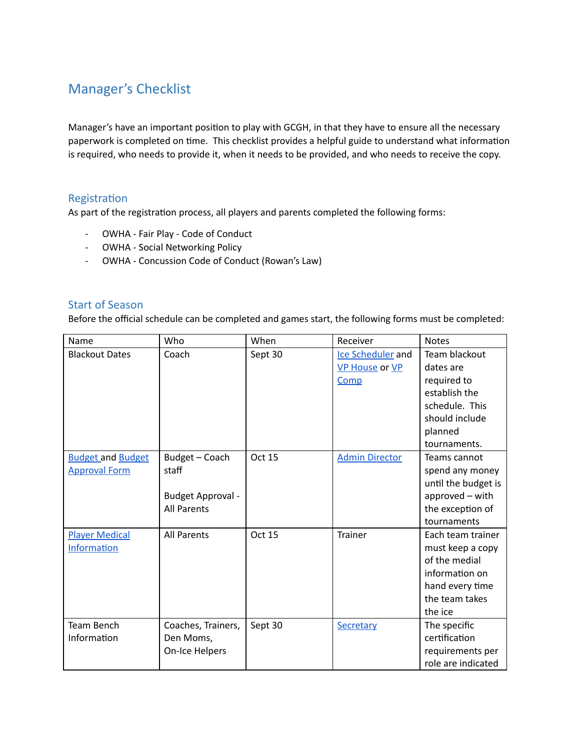# Manager's Checklist

Manager's have an important position to play with GCGH, in that they have to ensure all the necessary paperwork is completed on time. This checklist provides a helpful guide to understand what information is required, who needs to provide it, when it needs to be provided, and who needs to receive the copy.

### Registration

As part of the registration process, all players and parents completed the following forms:

- OWHA Fair Play Code of Conduct
- OWHA Social Networking Policy
- OWHA Concussion Code of Conduct (Rowan's Law)

### Start of Season

Before the official schedule can be completed and games start, the following forms must be completed:

| Name                     | Who                | When    | Receiver              | <b>Notes</b>        |
|--------------------------|--------------------|---------|-----------------------|---------------------|
| <b>Blackout Dates</b>    | Coach              | Sept 30 | Ice Scheduler and     | Team blackout       |
|                          |                    |         | <b>VP House or VP</b> | dates are           |
|                          |                    |         | Comp                  | required to         |
|                          |                    |         |                       | establish the       |
|                          |                    |         |                       | schedule. This      |
|                          |                    |         |                       | should include      |
|                          |                    |         |                       | planned             |
|                          |                    |         |                       | tournaments.        |
| <b>Budget and Budget</b> | Budget - Coach     | Oct 15  | <b>Admin Director</b> | Teams cannot        |
| <b>Approval Form</b>     | staff              |         |                       | spend any money     |
|                          |                    |         |                       | until the budget is |
|                          | Budget Approval -  |         |                       | approved - with     |
|                          | <b>All Parents</b> |         |                       | the exception of    |
|                          |                    |         |                       | tournaments         |
| <b>Player Medical</b>    | <b>All Parents</b> | Oct 15  | <b>Trainer</b>        | Each team trainer   |
| <b>Information</b>       |                    |         |                       | must keep a copy    |
|                          |                    |         |                       | of the medial       |
|                          |                    |         |                       | information on      |
|                          |                    |         |                       | hand every time     |
|                          |                    |         |                       | the team takes      |
|                          |                    |         |                       | the ice             |
| <b>Team Bench</b>        | Coaches, Trainers, | Sept 30 | Secretary             | The specific        |
| Information              | Den Moms,          |         |                       | certification       |
|                          | On-Ice Helpers     |         |                       | requirements per    |
|                          |                    |         |                       | role are indicated  |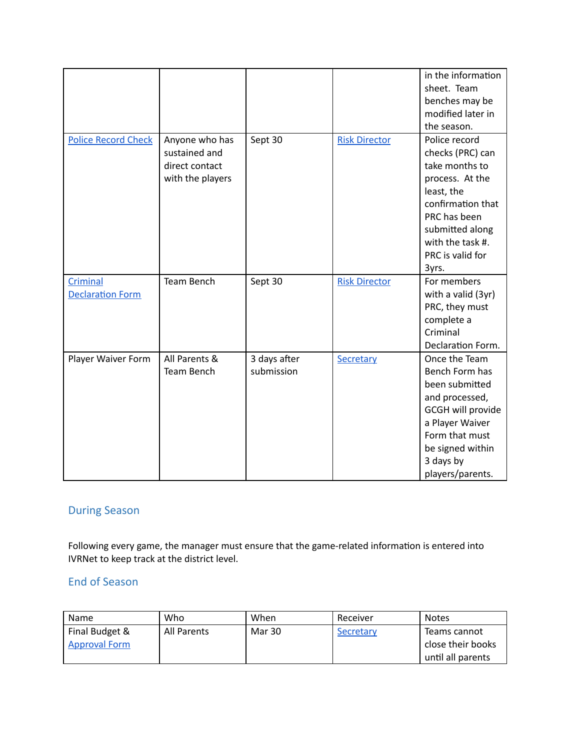|                            |                  |              |                      | in the information       |
|----------------------------|------------------|--------------|----------------------|--------------------------|
|                            |                  |              |                      | sheet. Team              |
|                            |                  |              |                      | benches may be           |
|                            |                  |              |                      | modified later in        |
|                            |                  |              |                      | the season.              |
| <b>Police Record Check</b> | Anyone who has   | Sept 30      | <b>Risk Director</b> | Police record            |
|                            | sustained and    |              |                      | checks (PRC) can         |
|                            | direct contact   |              |                      | take months to           |
|                            | with the players |              |                      | process. At the          |
|                            |                  |              |                      | least, the               |
|                            |                  |              |                      | confirmation that        |
|                            |                  |              |                      | PRC has been             |
|                            |                  |              |                      | submitted along          |
|                            |                  |              |                      | with the task #.         |
|                            |                  |              |                      | PRC is valid for         |
|                            |                  |              |                      | 3yrs.                    |
| Criminal                   | Team Bench       | Sept 30      | <b>Risk Director</b> | For members              |
| <b>Declaration Form</b>    |                  |              |                      | with a valid (3yr)       |
|                            |                  |              |                      | PRC, they must           |
|                            |                  |              |                      | complete a               |
|                            |                  |              |                      | Criminal                 |
|                            |                  |              |                      | Declaration Form.        |
| Player Waiver Form         | All Parents &    | 3 days after | Secretary            | Once the Team            |
|                            | Team Bench       | submission   |                      | Bench Form has           |
|                            |                  |              |                      | been submitted           |
|                            |                  |              |                      | and processed,           |
|                            |                  |              |                      | <b>GCGH will provide</b> |
|                            |                  |              |                      | a Player Waiver          |
|                            |                  |              |                      | Form that must           |
|                            |                  |              |                      | be signed within         |
|                            |                  |              |                      | 3 days by                |
|                            |                  |              |                      | players/parents.         |

# During Season

Following every game, the manager must ensure that the game-related information is entered into IVRNet to keep track at the district level.

### End of Season

| Name                                   | Who         | When   | Receiver  | <b>Notes</b>                                           |
|----------------------------------------|-------------|--------|-----------|--------------------------------------------------------|
| Final Budget &<br><b>Approval Form</b> | All Parents | Mar 30 | Secretary | Teams cannot<br>close their books<br>until all parents |